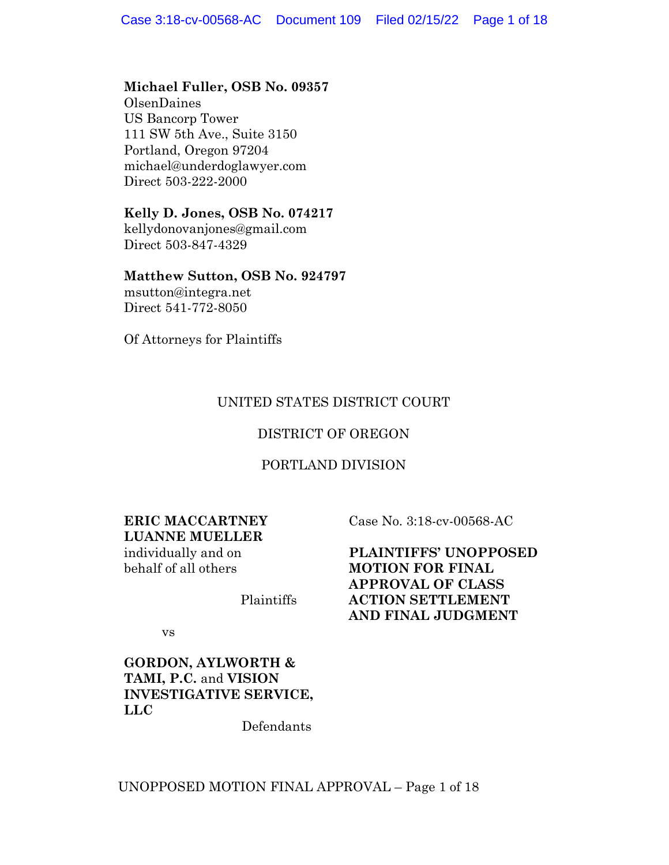### **Michael Fuller, OSB No. 09357**

OlsenDaines US Bancorp Tower 111 SW 5th Ave., Suite 3150 Portland, Oregon 97204 michael@underdoglawyer.com Direct 503-222-2000

### **Kelly D. Jones, OSB No. 074217**

kellydonovanjones@gmail.com Direct 503-847-4329

#### **Matthew Sutton, OSB No. 924797**

msutton@integra.net Direct 541-772-8050

Of Attorneys for Plaintiffs

## UNITED STATES DISTRICT COURT

## DISTRICT OF OREGON

### PORTLAND DIVISION

#### **ERIC MACCARTNEY LUANNE MUELLER**

individually and on behalf of all others

Case No. 3:18-cv-00568-AC

**PLAINTIFFS' UNOPPOSED MOTION FOR FINAL APPROVAL OF CLASS ACTION SETTLEMENT AND FINAL JUDGMENT**

vs

## **GORDON, AYLWORTH & TAMI, P.C.** and **VISION INVESTIGATIVE SERVICE, LLC**

Defendants

Plaintiffs

### UNOPPOSED MOTION FINAL APPROVAL – Page 1 of 18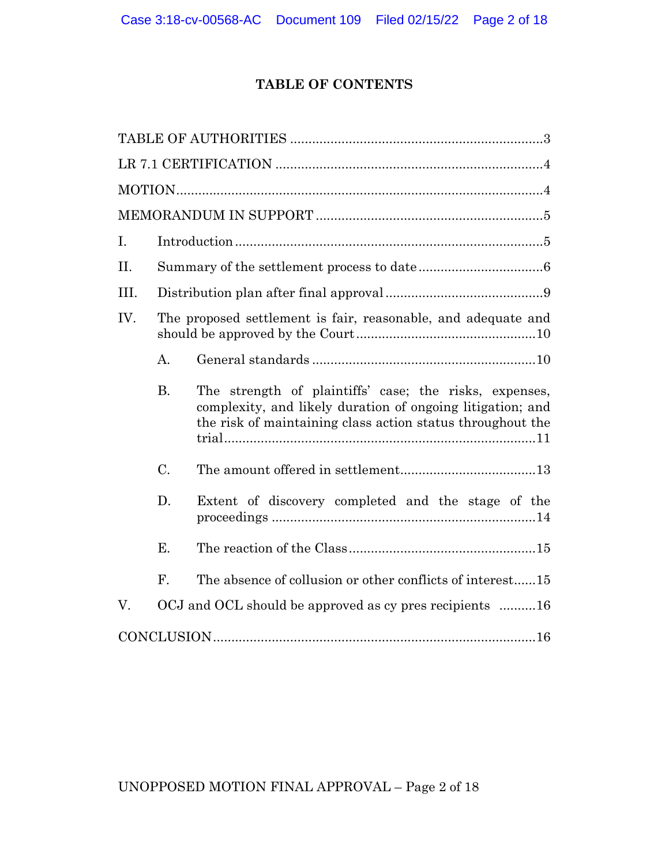## **TABLE OF CONTENTS**

| Ι.   |                                                         |                                                                                                                                                                                    |  |
|------|---------------------------------------------------------|------------------------------------------------------------------------------------------------------------------------------------------------------------------------------------|--|
| II.  |                                                         |                                                                                                                                                                                    |  |
| III. |                                                         |                                                                                                                                                                                    |  |
| IV.  |                                                         | The proposed settlement is fair, reasonable, and adequate and                                                                                                                      |  |
|      | А.                                                      |                                                                                                                                                                                    |  |
|      | <b>B.</b>                                               | The strength of plaintiffs' case; the risks, expenses,<br>complexity, and likely duration of ongoing litigation; and<br>the risk of maintaining class action status throughout the |  |
|      | C.                                                      |                                                                                                                                                                                    |  |
|      | D.                                                      | Extent of discovery completed and the stage of the                                                                                                                                 |  |
|      | Ε.                                                      |                                                                                                                                                                                    |  |
|      | F.                                                      | The absence of collusion or other conflicts of interest15                                                                                                                          |  |
| V.   | OCJ and OCL should be approved as cy pres recipients 16 |                                                                                                                                                                                    |  |
|      |                                                         |                                                                                                                                                                                    |  |

# UNOPPOSED MOTION FINAL APPROVAL – Page 2 of 18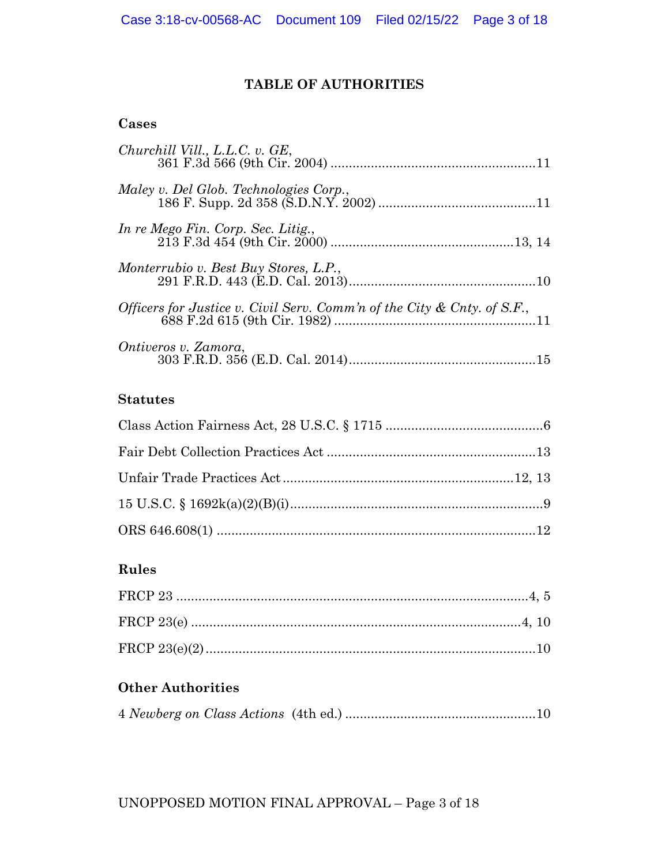## **TABLE OF AUTHORITIES**

## **Cases**

| Churchill Vill., L.L.C. v. GE,                                          |  |
|-------------------------------------------------------------------------|--|
| Maley v. Del Glob. Technologies Corp.,                                  |  |
| In re Mego Fin. Corp. Sec. Litig.,                                      |  |
| Monterrubio v. Best Buy Stores, L.P.,                                   |  |
| Officers for Justice v. Civil Serv. Comm'n of the City & Cnty. of S.F., |  |
| Ontiveros v. Zamora,                                                    |  |

# **Statutes**

## **Rules**

# **Other Authorities**

|--|--|--|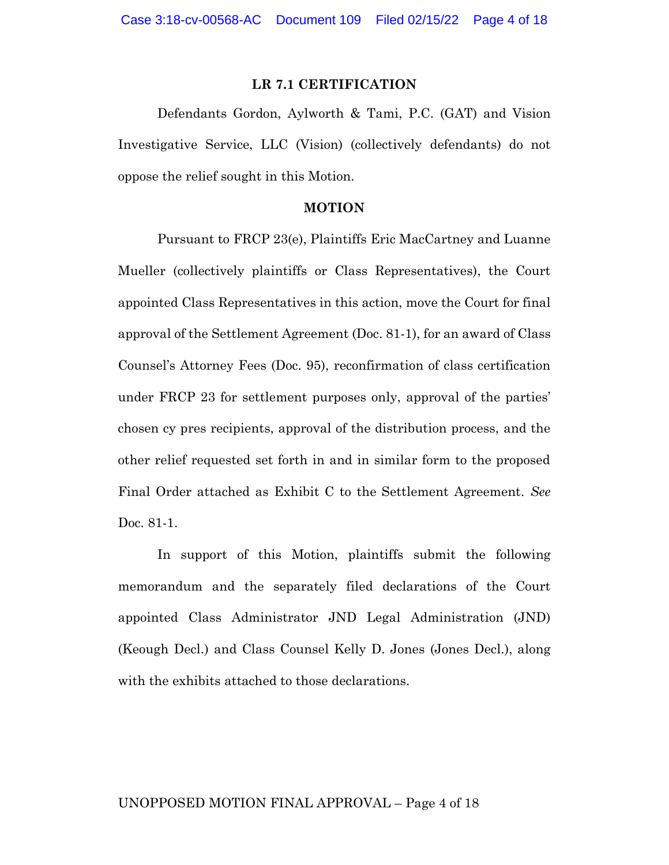### **LR 7.1 CERTIFICATION**

Defendants Gordon, Aylworth & Tami, P.C. (GAT) and Vision Investigative Service, LLC (Vision) (collectively defendants) do not oppose the relief sought in this Motion.

#### **MOTION**

Pursuant to FRCP 23(e), Plaintiffs Eric MacCartney and Luanne Mueller (collectively plaintiffs or Class Representatives), the Court appointed Class Representatives in this action, move the Court for final approval of the Settlement Agreement (Doc. 81-1), for an award of Class Counsel's Attorney Fees (Doc. 95), reconfirmation of class certification under FRCP 23 for settlement purposes only, approval of the parties' chosen cy pres recipients, approval of the distribution process, and the other relief requested set forth in and in similar form to the proposed Final Order attached as Exhibit C to the Settlement Agreement. *See* Doc. 81-1.

In support of this Motion, plaintiffs submit the following memorandum and the separately filed declarations of the Court appointed Class Administrator JND Legal Administration (JND) (Keough Decl.) and Class Counsel Kelly D. Jones (Jones Decl.), along with the exhibits attached to those declarations.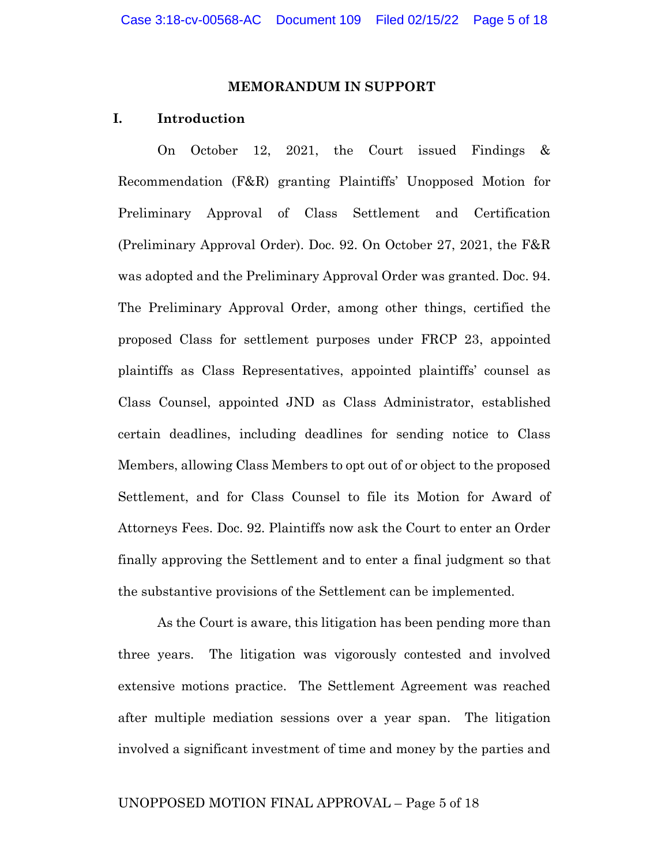#### **MEMORANDUM IN SUPPORT**

#### **I. Introduction**

On October 12, 2021, the Court issued Findings & Recommendation (F&R) granting Plaintiffs' Unopposed Motion for Preliminary Approval of Class Settlement and Certification (Preliminary Approval Order). Doc. 92. On October 27, 2021, the F&R was adopted and the Preliminary Approval Order was granted. Doc. 94. The Preliminary Approval Order, among other things, certified the proposed Class for settlement purposes under FRCP 23, appointed plaintiffs as Class Representatives, appointed plaintiffs' counsel as Class Counsel, appointed JND as Class Administrator, established certain deadlines, including deadlines for sending notice to Class Members, allowing Class Members to opt out of or object to the proposed Settlement, and for Class Counsel to file its Motion for Award of Attorneys Fees. Doc. 92. Plaintiffs now ask the Court to enter an Order finally approving the Settlement and to enter a final judgment so that the substantive provisions of the Settlement can be implemented.

As the Court is aware, this litigation has been pending more than three years. The litigation was vigorously contested and involved extensive motions practice. The Settlement Agreement was reached after multiple mediation sessions over a year span. The litigation involved a significant investment of time and money by the parties and

#### UNOPPOSED MOTION FINAL APPROVAL – Page 5 of 18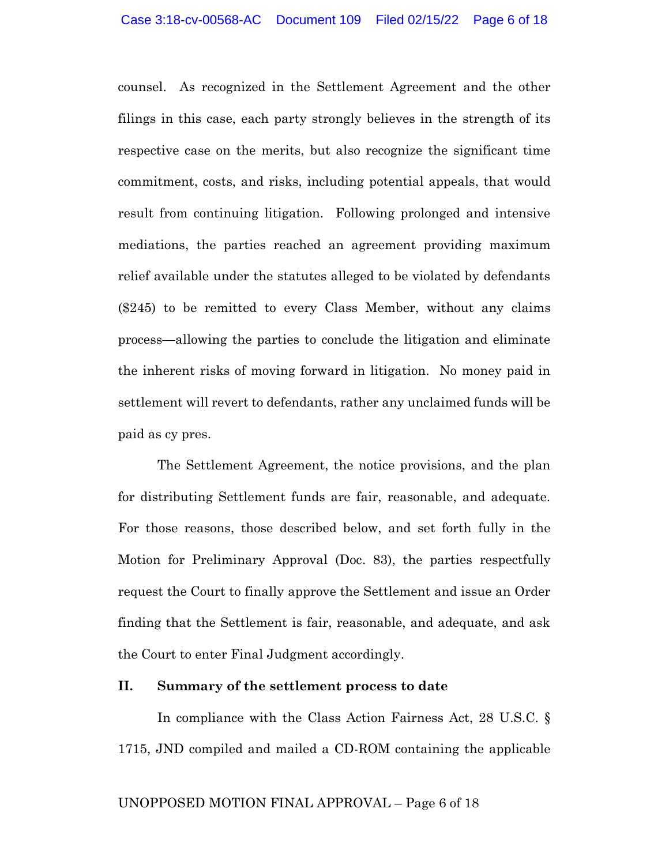counsel. As recognized in the Settlement Agreement and the other filings in this case, each party strongly believes in the strength of its respective case on the merits, but also recognize the significant time commitment, costs, and risks, including potential appeals, that would result from continuing litigation. Following prolonged and intensive mediations, the parties reached an agreement providing maximum relief available under the statutes alleged to be violated by defendants (\$245) to be remitted to every Class Member, without any claims process—allowing the parties to conclude the litigation and eliminate the inherent risks of moving forward in litigation. No money paid in settlement will revert to defendants, rather any unclaimed funds will be paid as cy pres.

The Settlement Agreement, the notice provisions, and the plan for distributing Settlement funds are fair, reasonable, and adequate. For those reasons, those described below, and set forth fully in the Motion for Preliminary Approval (Doc. 83), the parties respectfully request the Court to finally approve the Settlement and issue an Order finding that the Settlement is fair, reasonable, and adequate, and ask the Court to enter Final Judgment accordingly.

## **II. Summary of the settlement process to date**

In compliance with the Class Action Fairness Act, 28 U.S.C. § 1715, JND compiled and mailed a CD-ROM containing the applicable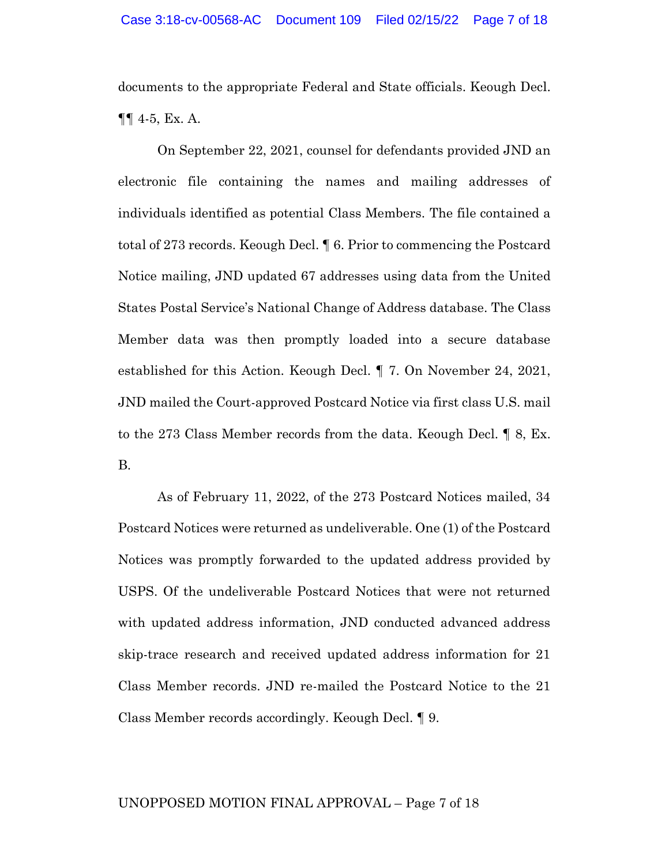documents to the appropriate Federal and State officials. Keough Decl. ¶¶ 4-5, Ex. A.

On September 22, 2021, counsel for defendants provided JND an electronic file containing the names and mailing addresses of individuals identified as potential Class Members. The file contained a total of 273 records. Keough Decl. ¶ 6. Prior to commencing the Postcard Notice mailing, JND updated 67 addresses using data from the United States Postal Service's National Change of Address database. The Class Member data was then promptly loaded into a secure database established for this Action. Keough Decl. ¶ 7. On November 24, 2021, JND mailed the Court-approved Postcard Notice via first class U.S. mail to the 273 Class Member records from the data. Keough Decl. ¶ 8, Ex. B.

As of February 11, 2022, of the 273 Postcard Notices mailed, 34 Postcard Notices were returned as undeliverable. One (1) of the Postcard Notices was promptly forwarded to the updated address provided by USPS. Of the undeliverable Postcard Notices that were not returned with updated address information, JND conducted advanced address skip-trace research and received updated address information for 21 Class Member records. JND re-mailed the Postcard Notice to the 21 Class Member records accordingly. Keough Decl. ¶ 9.

#### UNOPPOSED MOTION FINAL APPROVAL – Page 7 of 18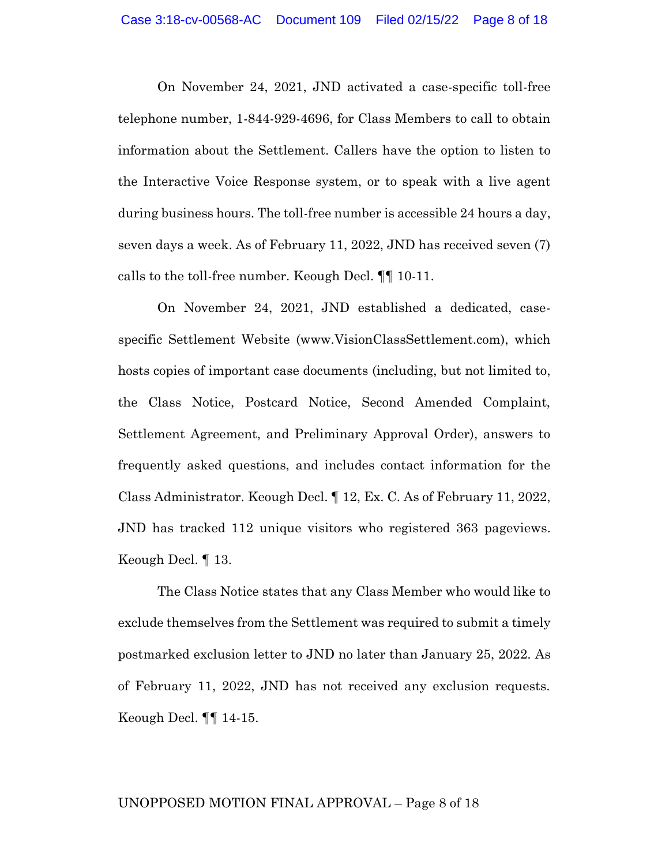On November 24, 2021, JND activated a case-specific toll-free telephone number, 1-844-929-4696, for Class Members to call to obtain information about the Settlement. Callers have the option to listen to the Interactive Voice Response system, or to speak with a live agent during business hours. The toll-free number is accessible 24 hours a day, seven days a week. As of February 11, 2022, JND has received seven (7) calls to the toll-free number. Keough Decl. ¶¶ 10-11.

On November 24, 2021, JND established a dedicated, casespecific Settlement Website (www.VisionClassSettlement.com), which hosts copies of important case documents (including, but not limited to, the Class Notice, Postcard Notice, Second Amended Complaint, Settlement Agreement, and Preliminary Approval Order), answers to frequently asked questions, and includes contact information for the Class Administrator. Keough Decl. ¶ 12, Ex. C. As of February 11, 2022, JND has tracked 112 unique visitors who registered 363 pageviews. Keough Decl. ¶ 13.

The Class Notice states that any Class Member who would like to exclude themselves from the Settlement was required to submit a timely postmarked exclusion letter to JND no later than January 25, 2022. As of February 11, 2022, JND has not received any exclusion requests. Keough Decl. ¶¶ 14-15.

#### UNOPPOSED MOTION FINAL APPROVAL – Page 8 of 18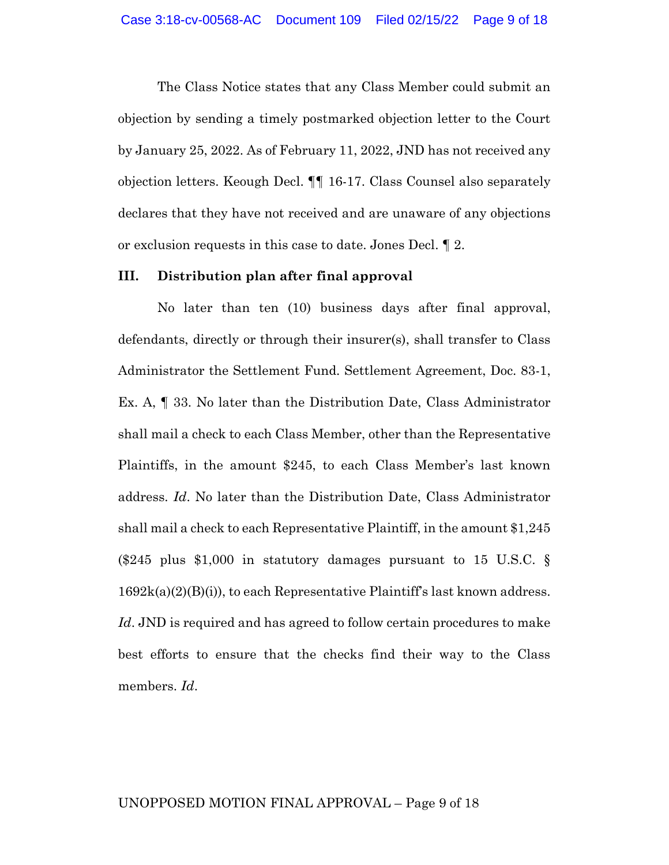The Class Notice states that any Class Member could submit an objection by sending a timely postmarked objection letter to the Court by January 25, 2022. As of February 11, 2022, JND has not received any objection letters. Keough Decl. ¶¶ 16-17. Class Counsel also separately declares that they have not received and are unaware of any objections or exclusion requests in this case to date. Jones Decl. ¶ 2.

#### **III. Distribution plan after final approval**

No later than ten (10) business days after final approval, defendants, directly or through their insurer(s), shall transfer to Class Administrator the Settlement Fund. Settlement Agreement, Doc. 83-1, Ex. A, ¶ 33. No later than the Distribution Date, Class Administrator shall mail a check to each Class Member, other than the Representative Plaintiffs, in the amount \$245, to each Class Member's last known address. *Id*. No later than the Distribution Date, Class Administrator shall mail a check to each Representative Plaintiff, in the amount \$1,245 (\$245 plus \$1,000 in statutory damages pursuant to 15 U.S.C. §  $1692k(a)(2)(B(i))$ , to each Representative Plaintiff's last known address. *Id*. JND is required and has agreed to follow certain procedures to make best efforts to ensure that the checks find their way to the Class members. *Id*.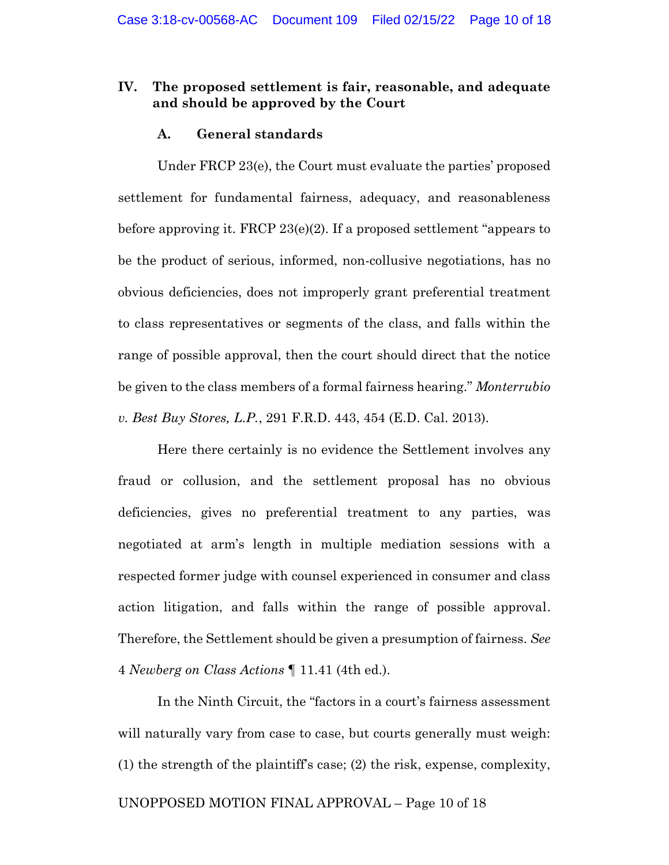### **IV. The proposed settlement is fair, reasonable, and adequate and should be approved by the Court**

### **A. General standards**

Under FRCP 23(e), the Court must evaluate the parties' proposed settlement for fundamental fairness, adequacy, and reasonableness before approving it. FRCP 23(e)(2). If a proposed settlement "appears to be the product of serious, informed, non-collusive negotiations, has no obvious deficiencies, does not improperly grant preferential treatment to class representatives or segments of the class, and falls within the range of possible approval, then the court should direct that the notice be given to the class members of a formal fairness hearing." *Monterrubio v. Best Buy Stores, L.P.*, 291 F.R.D. 443, 454 (E.D. Cal. 2013).

Here there certainly is no evidence the Settlement involves any fraud or collusion, and the settlement proposal has no obvious deficiencies, gives no preferential treatment to any parties, was negotiated at arm's length in multiple mediation sessions with a respected former judge with counsel experienced in consumer and class action litigation, and falls within the range of possible approval. Therefore, the Settlement should be given a presumption of fairness. *See*  4 *Newberg on Class Actions* ¶ 11.41 (4th ed.).

In the Ninth Circuit, the "factors in a court's fairness assessment will naturally vary from case to case, but courts generally must weigh: (1) the strength of the plaintiff's case; (2) the risk, expense, complexity,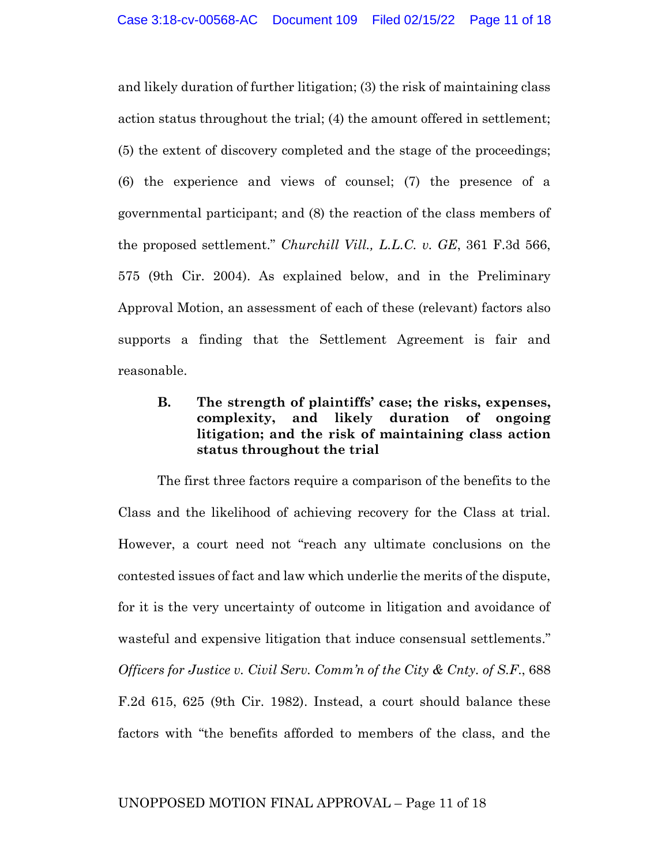and likely duration of further litigation; (3) the risk of maintaining class action status throughout the trial; (4) the amount offered in settlement; (5) the extent of discovery completed and the stage of the proceedings; (6) the experience and views of counsel; (7) the presence of a governmental participant; and (8) the reaction of the class members of the proposed settlement." *Churchill Vill., L.L.C. v. GE*, 361 F.3d 566, 575 (9th Cir. 2004). As explained below, and in the Preliminary Approval Motion, an assessment of each of these (relevant) factors also supports a finding that the Settlement Agreement is fair and reasonable.

## **B. The strength of plaintiffs' case; the risks, expenses, complexity, and likely duration of ongoing litigation; and the risk of maintaining class action status throughout the trial**

The first three factors require a comparison of the benefits to the Class and the likelihood of achieving recovery for the Class at trial. However, a court need not "reach any ultimate conclusions on the contested issues of fact and law which underlie the merits of the dispute, for it is the very uncertainty of outcome in litigation and avoidance of wasteful and expensive litigation that induce consensual settlements." *Officers for Justice v. Civil Serv. Comm'n of the City & Cnty. of S.F*., 688 F.2d 615, 625 (9th Cir. 1982). Instead, a court should balance these factors with "the benefits afforded to members of the class, and the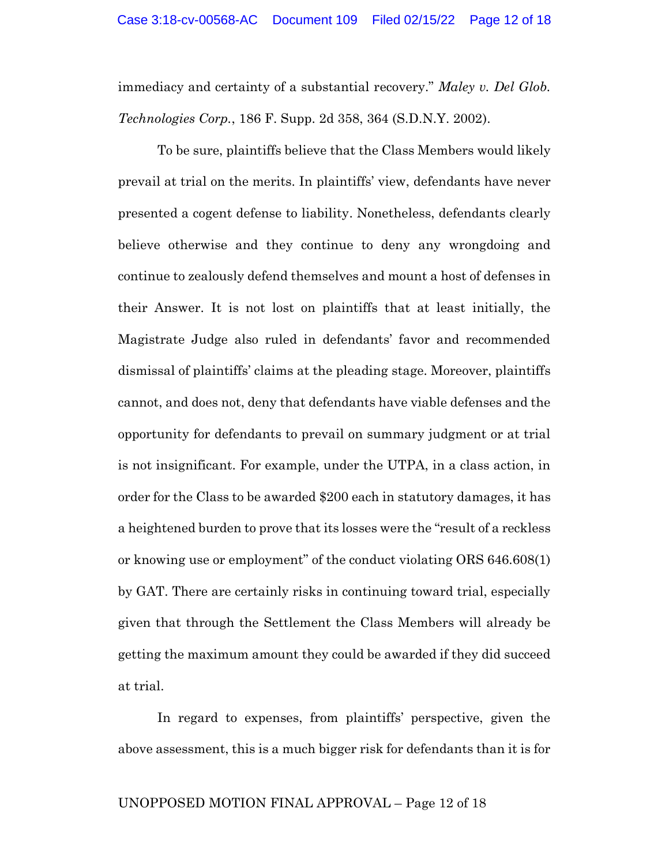immediacy and certainty of a substantial recovery." *Maley v. Del Glob. Technologies Corp.*, 186 F. Supp. 2d 358, 364 (S.D.N.Y. 2002).

To be sure, plaintiffs believe that the Class Members would likely prevail at trial on the merits. In plaintiffs' view, defendants have never presented a cogent defense to liability. Nonetheless, defendants clearly believe otherwise and they continue to deny any wrongdoing and continue to zealously defend themselves and mount a host of defenses in their Answer. It is not lost on plaintiffs that at least initially, the Magistrate Judge also ruled in defendants' favor and recommended dismissal of plaintiffs' claims at the pleading stage. Moreover, plaintiffs cannot, and does not, deny that defendants have viable defenses and the opportunity for defendants to prevail on summary judgment or at trial is not insignificant. For example, under the UTPA, in a class action, in order for the Class to be awarded \$200 each in statutory damages, it has a heightened burden to prove that its losses were the "result of a reckless or knowing use or employment" of the conduct violating ORS 646.608(1) by GAT. There are certainly risks in continuing toward trial, especially given that through the Settlement the Class Members will already be getting the maximum amount they could be awarded if they did succeed at trial.

In regard to expenses, from plaintiffs' perspective, given the above assessment, this is a much bigger risk for defendants than it is for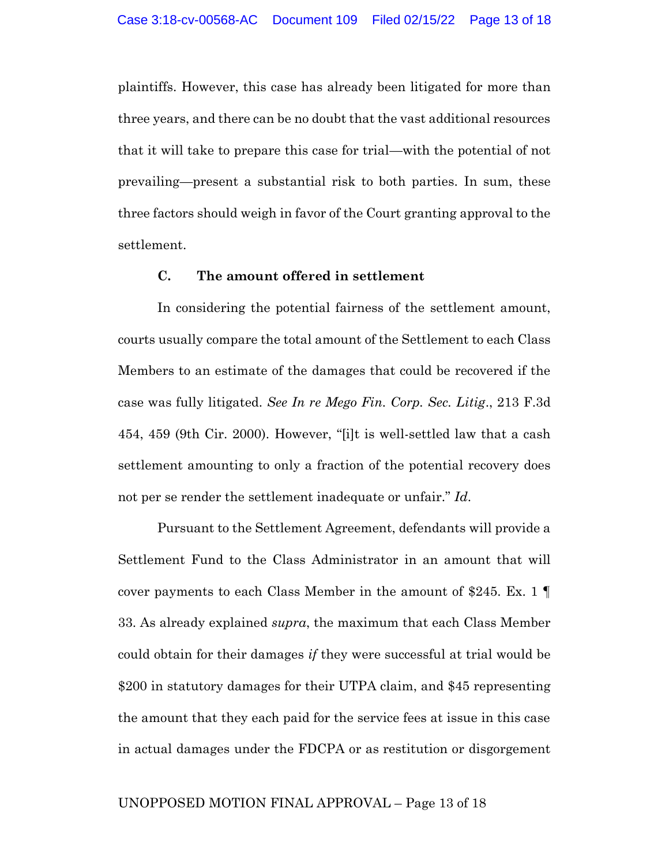plaintiffs. However, this case has already been litigated for more than three years, and there can be no doubt that the vast additional resources that it will take to prepare this case for trial—with the potential of not prevailing—present a substantial risk to both parties. In sum, these three factors should weigh in favor of the Court granting approval to the settlement.

### **C. The amount offered in settlement**

In considering the potential fairness of the settlement amount, courts usually compare the total amount of the Settlement to each Class Members to an estimate of the damages that could be recovered if the case was fully litigated. *See In re Mego Fin. Corp. Sec. Litig*., 213 F.3d 454, 459 (9th Cir. 2000). However, "[i]t is well-settled law that a cash settlement amounting to only a fraction of the potential recovery does not per se render the settlement inadequate or unfair." *Id*.

Pursuant to the Settlement Agreement, defendants will provide a Settlement Fund to the Class Administrator in an amount that will cover payments to each Class Member in the amount of \$245. Ex. 1 33. As already explained *supra*, the maximum that each Class Member could obtain for their damages *if* they were successful at trial would be \$200 in statutory damages for their UTPA claim, and \$45 representing the amount that they each paid for the service fees at issue in this case in actual damages under the FDCPA or as restitution or disgorgement

#### UNOPPOSED MOTION FINAL APPROVAL – Page 13 of 18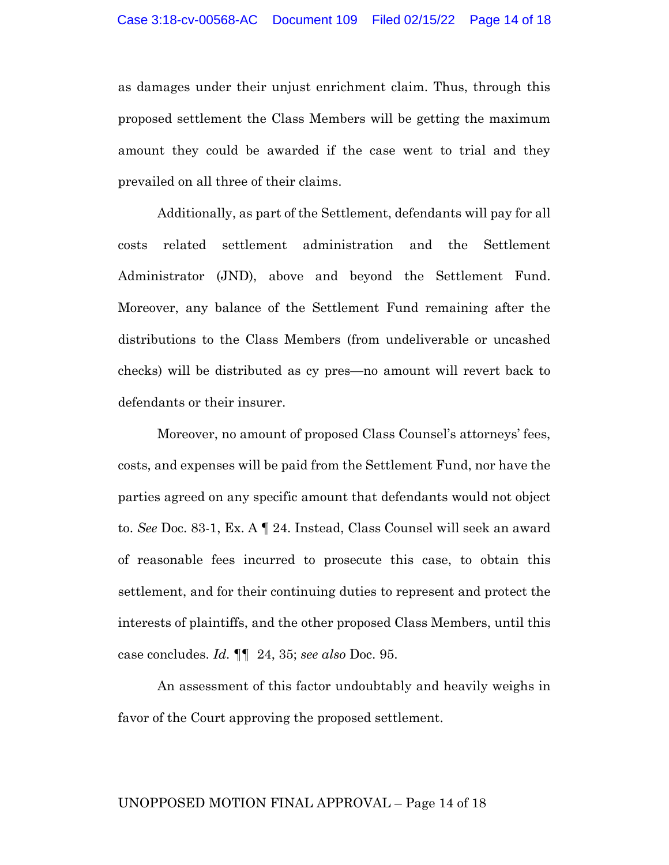as damages under their unjust enrichment claim. Thus, through this proposed settlement the Class Members will be getting the maximum amount they could be awarded if the case went to trial and they prevailed on all three of their claims.

Additionally, as part of the Settlement, defendants will pay for all costs related settlement administration and the Settlement Administrator (JND), above and beyond the Settlement Fund. Moreover, any balance of the Settlement Fund remaining after the distributions to the Class Members (from undeliverable or uncashed checks) will be distributed as cy pres—no amount will revert back to defendants or their insurer.

Moreover, no amount of proposed Class Counsel's attorneys' fees, costs, and expenses will be paid from the Settlement Fund, nor have the parties agreed on any specific amount that defendants would not object to. *See* Doc. 83-1, Ex. A ¶ 24. Instead, Class Counsel will seek an award of reasonable fees incurred to prosecute this case, to obtain this settlement, and for their continuing duties to represent and protect the interests of plaintiffs, and the other proposed Class Members, until this case concludes. *Id.* ¶¶ 24, 35; *see also* Doc. 95.

An assessment of this factor undoubtably and heavily weighs in favor of the Court approving the proposed settlement.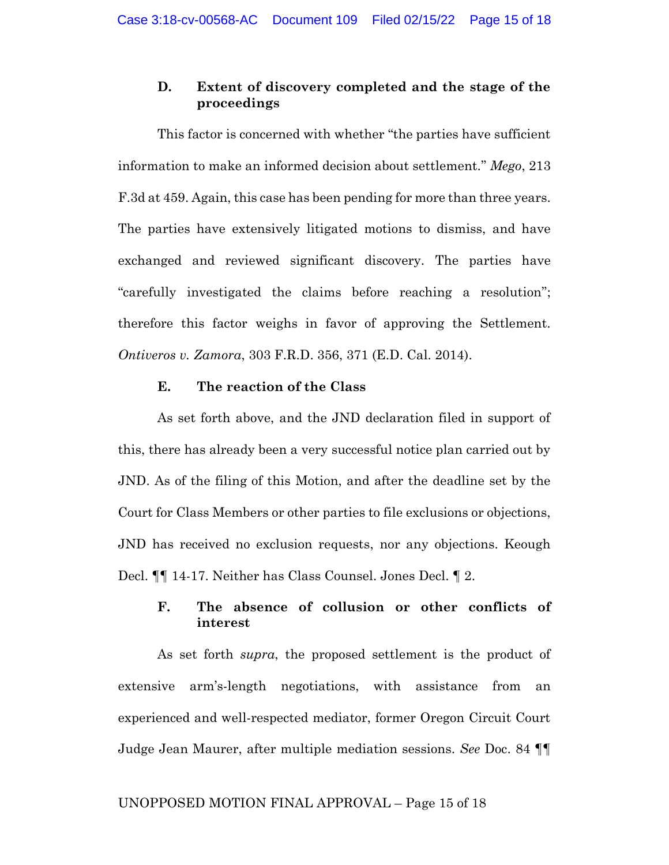## **D. Extent of discovery completed and the stage of the proceedings**

This factor is concerned with whether "the parties have sufficient information to make an informed decision about settlement." *Mego*, 213 F.3d at 459. Again, this case has been pending for more than three years. The parties have extensively litigated motions to dismiss, and have exchanged and reviewed significant discovery. The parties have "carefully investigated the claims before reaching a resolution"; therefore this factor weighs in favor of approving the Settlement. *Ontiveros v. Zamora*, 303 F.R.D. 356, 371 (E.D. Cal. 2014).

### **E. The reaction of the Class**

As set forth above, and the JND declaration filed in support of this, there has already been a very successful notice plan carried out by JND. As of the filing of this Motion, and after the deadline set by the Court for Class Members or other parties to file exclusions or objections, JND has received no exclusion requests, nor any objections. Keough Decl. ¶¶ 14-17. Neither has Class Counsel. Jones Decl. ¶ 2.

## **F. The absence of collusion or other conflicts of interest**

As set forth *supra*, the proposed settlement is the product of extensive arm's-length negotiations, with assistance from an experienced and well-respected mediator, former Oregon Circuit Court Judge Jean Maurer, after multiple mediation sessions. *See* Doc. 84 ¶¶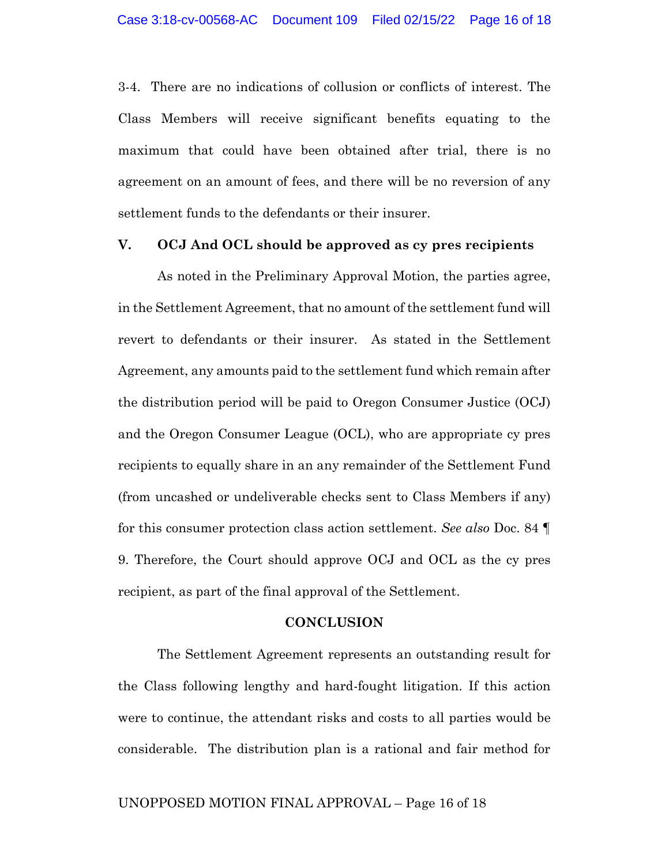3-4. There are no indications of collusion or conflicts of interest. The Class Members will receive significant benefits equating to the maximum that could have been obtained after trial, there is no agreement on an amount of fees, and there will be no reversion of any settlement funds to the defendants or their insurer.

#### **V. OCJ And OCL should be approved as cy pres recipients**

As noted in the Preliminary Approval Motion, the parties agree, in the Settlement Agreement, that no amount of the settlement fund will revert to defendants or their insurer. As stated in the Settlement Agreement, any amounts paid to the settlement fund which remain after the distribution period will be paid to Oregon Consumer Justice (OCJ) and the Oregon Consumer League (OCL), who are appropriate cy pres recipients to equally share in an any remainder of the Settlement Fund (from uncashed or undeliverable checks sent to Class Members if any) for this consumer protection class action settlement. *See also* Doc. 84 ¶ 9. Therefore, the Court should approve OCJ and OCL as the cy pres recipient, as part of the final approval of the Settlement.

#### **CONCLUSION**

The Settlement Agreement represents an outstanding result for the Class following lengthy and hard-fought litigation. If this action were to continue, the attendant risks and costs to all parties would be considerable. The distribution plan is a rational and fair method for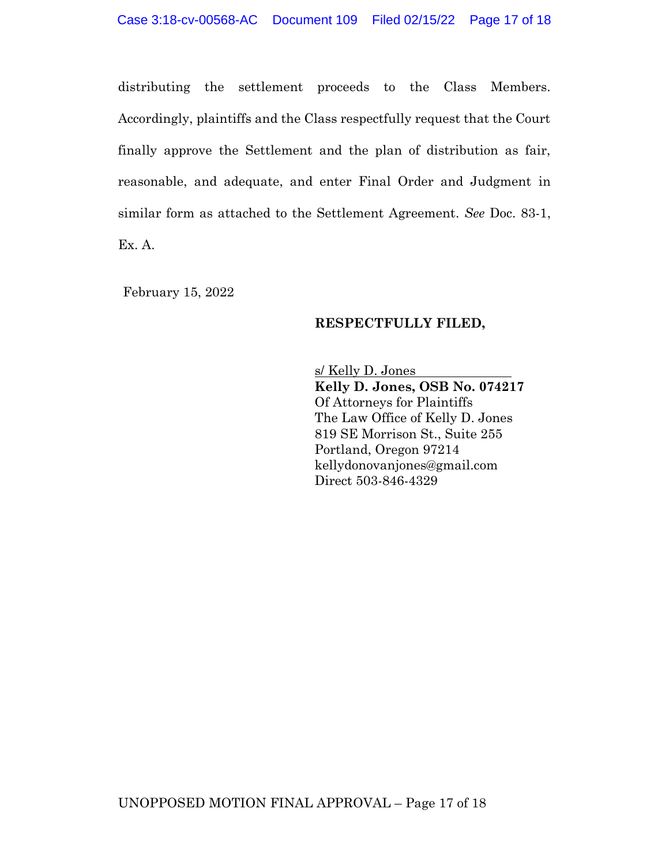distributing the settlement proceeds to the Class Members. Accordingly, plaintiffs and the Class respectfully request that the Court finally approve the Settlement and the plan of distribution as fair, reasonable, and adequate, and enter Final Order and Judgment in similar form as attached to the Settlement Agreement. *See* Doc. 83-1, Ex. A.

February 15, 2022

### **RESPECTFULLY FILED,**

s/ Kelly D. Jones **Kelly D. Jones, OSB No. 074217** Of Attorneys for Plaintiffs The Law Office of Kelly D. Jones 819 SE Morrison St., Suite 255 Portland, Oregon 97214 kellydonovanjones@gmail.com Direct 503-846-4329